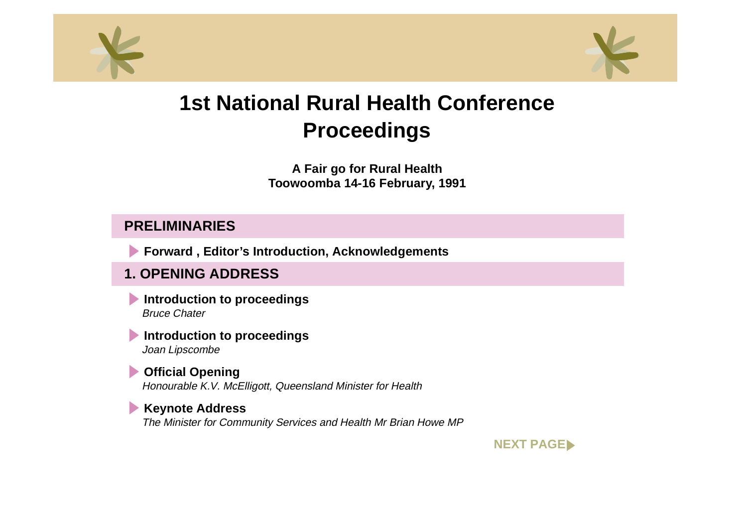<span id="page-0-0"></span>



**A Fair go for Rural Health Toowoomba 14-16 February, 1991** 

#### **PRELIMINARIES**

**Forward , Editor's Introduction, Acknowledgements**

## **1. OPENING ADDRESS**

**Introduction to proceedings** Bruce Chater

**Introduction to proceedings** Joan Lipscombe

#### **Official Opening**  Honourable K.V. McElligott, Queensland Minister for Health

#### **Keynote Address**

The Minister for Community Services and Health Mr Brian Howe MP

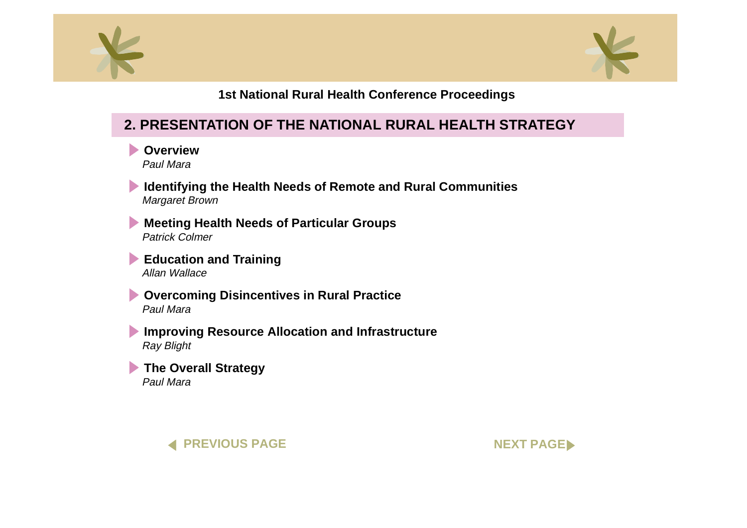<span id="page-1-0"></span>



## **2. PRESENTATION OF THE NATIONAL RURAL HEALTH STRATEGY**

**D** Overview Paul Mara

**[Identifying the Health Needs of Remote and Rural Communities](#page-0-0)** Margaret Brown

**[Meeting Health Needs of Particular Groups](#page-0-0)** Patrick Colmer

**[Education and Training](#page-0-0)** Allan Wallace

**[Overcoming Disincentives in Rural Practice](#page-0-0)** Paul Mara

**[Improving Resource Allocation and Infrastructure](#page-0-0)** Ray Blight

**[The Overall Strategy](#page-0-0)** Paul Mara



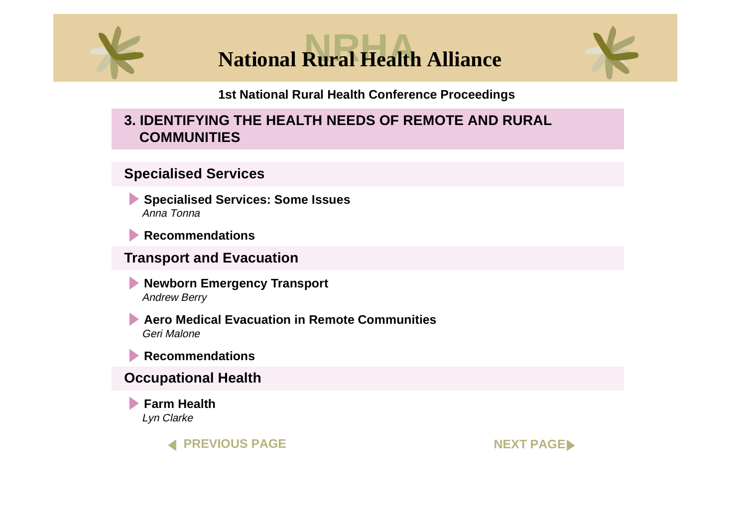<span id="page-2-0"></span>

**National Rural Health Alliance** 



**1st National Rural Health Conference Proceedings**

## **3. IDENTIFYING THE HEALTH NEEDS OF REMOTE AND RURAL COMMUNITIES**

### **Specialised Services**

**[Specialised Services: Some Issues](#page-0-0)** Anna Tonna

**[Recommendations](#page-0-0)**

#### **Transport and Evacuation**

**Newborn [Emergency Transport](#page-0-0)** Andrew Berry

**Aero Medical Evacuation in [Remote Communities](#page-0-0)** Geri Malone

**[Recommendations](#page-0-0)**

#### **Occupational Health**

**[Farm Health](#page-0-0)**  Lyn Clarke



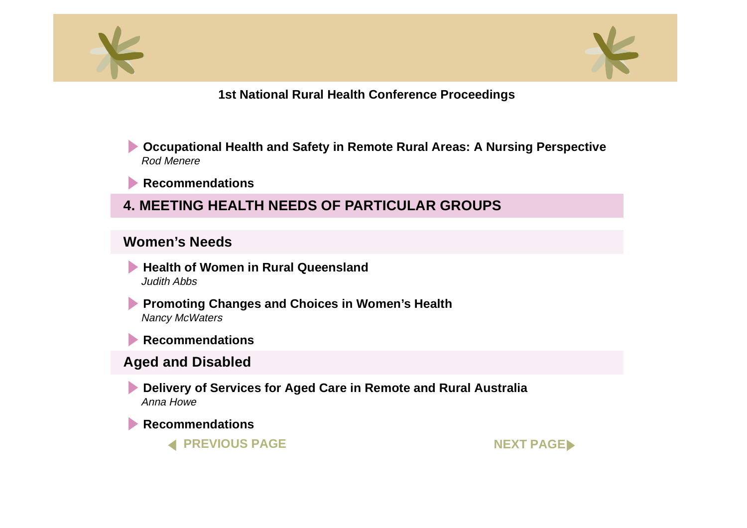<span id="page-3-0"></span>



- **[Occupational Health and Safety in Remote Rural Areas: A Nursing Perspectiv](#page-0-0)e** Rod Menere
- **[Recommendations](#page-0-0)**
- **4. MEETING HEALTH NEEDS OF PARTICULAR GROUPS**

#### **Women's Needs**

- **[Health of Women in Rural Queensland](#page-0-0)** Judith Abbs
- **[Promoting Changes and Choices in Women's Health](#page-0-0)** Nancy McWaters
- **[Recommendations](#page-0-0)**

## **Aged and Disabled**

**[Delivery of Services for Aged Care in Remote and Rural Australia](#page-0-0)** Anna Howe

**[Recommendation](#page-0-0)s**

**[PREVIOUS PAGE](#page-2-0) [NEXT PAGE](#page-4-0)**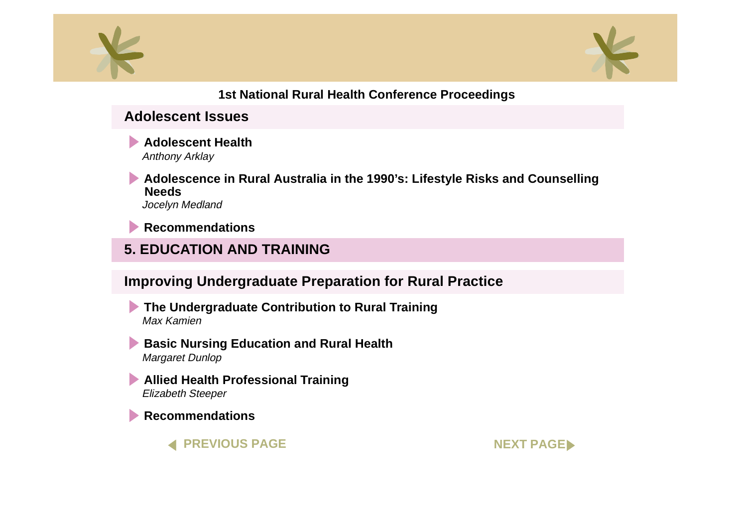<span id="page-4-0"></span>



#### **Adolescent Issues**

**[Adolescent Health](#page-0-0)** Anthony Arklay

**[Adolescence in Rural Australia in the 1990's: Lifestyle Risks and Counsellin](#page-0-0)g Needs** Jocelyn Medland

**[Recommendations](#page-0-0)**

# **5. EDUCATION AND TRAINING**

## **Improving Undergraduate Preparation for Rural Practice**

**[The Undergraduate Contribution to Rural Training](#page-0-0)** Max Kamien

**[Basic Nursing Education and Rural Health](#page-0-0)** Margaret Dunlop

**[Allied Health Professional Training](#page-0-0)** Elizabeth Steeper

**[Recommendations](#page-0-0)**

**[PREVIOUS PAGE](#page-3-0) AND RESOURCE AND RESOURCE AND RESOURCE AND RESOURCE AND RESOURCE AND RESOURCE AND RESOURCE AND RESOURCE AND RESOURCE AND RESOURCE AND RESOURCE AND RESOURCE AND RESOURCE AND RESOURCE AND RESOURCE AND RESOURCE**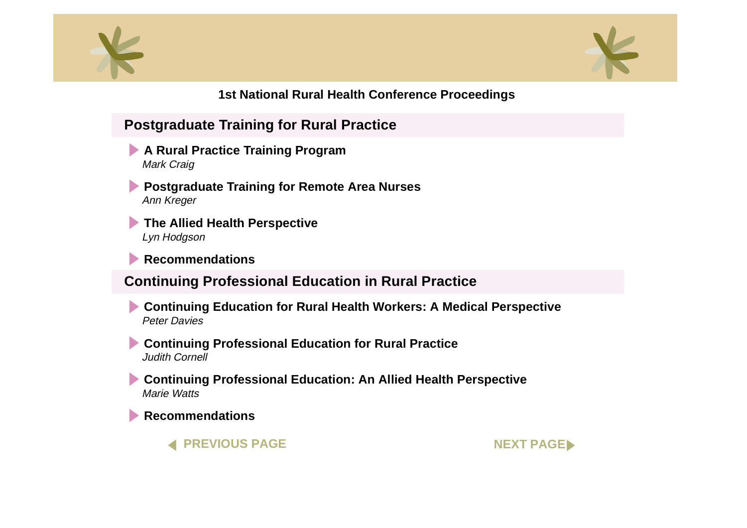<span id="page-5-0"></span>



## **Postgraduate Training for Rural Practice**

- **[A Rural Practice Training Program](#page-0-0)**  Mark Craig
- **[Postgraduate Training for Remote Area Nurses](#page-0-0)**  Ann Kreger
- **[The Allied Health Perspective](#page-0-0)**  Lyn Hodgson
- **[Recommendations](#page-0-0)**

## **Continuing Professional Education in Rural Practice**

- **[Continuing Education for Rural Health Workers: A Medical Perspective](#page-0-0)** Peter Davies
- **[Continuing Professional Education for Rural Practice](#page-0-0)** Judith Cornell
- **[Continuing Professional Education: An Allied Health Perspective](#page-0-0)** Marie Watts

**[Recommendations](#page-0-0)**

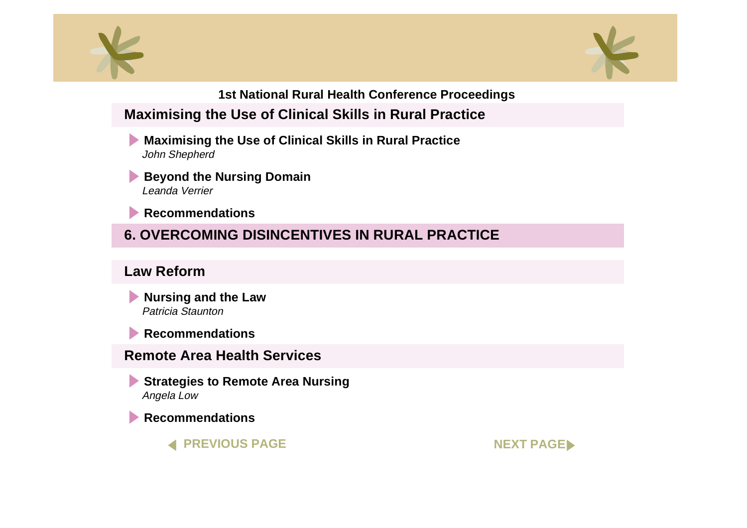<span id="page-6-0"></span>



# **Maximising the Use of Clinical Skills in Rural Practice**

- **[Maximising the Use of Clinical Skills in Rural Practice](#page-0-0)** John Shepherd
- **[Beyond the Nursing Domain](#page-0-0)** Leanda Verrier
- **[Recommendations](#page-0-0)**

# **6. OVERCOMING DISINCENTIVES IN RURAL PRACTICE**

## **Law Reform**

- **[Nursing and the Law](#page-0-0)** Patricia Staunton
- **[Recommendations](#page-0-0)**

## **Remote Area Health Services**

- **[Strategies to Remote Area Nursing](#page-0-0)** Angela Low
- **[Recommendations](#page-0-0)**



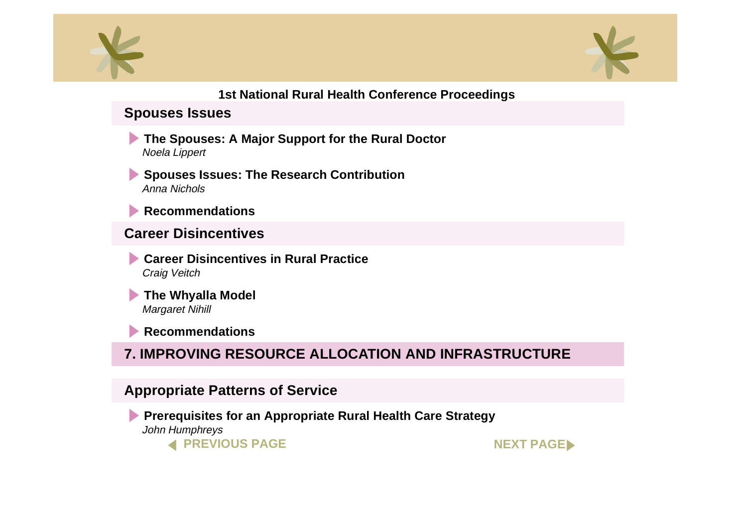<span id="page-7-0"></span>



### **Spouses Issues**

- **[The Spouses: A Major Support for the Rural Doctor](#page-0-0)** Noela Lippert
- **[Spouses Issues: The Research Contribution](#page-0-0)** Anna Nichols
- **[Recommendation](#page-0-0)s**

## **Career Disincentives**

- **[Career Disincentives in Rural Practice](#page-0-0)** Craig Veitch
- **[The Whyalla Mode](#page-0-0)l** Margaret Nihill

**[Recommendations](#page-0-0)**

# **7. IMPROVING RESOURCE ALLOCATION AND INFRASTRUCTURE**

## **Appropriate Patterns of Service**

**[Prerequisites for an Appropriate Rural Health Care Strategy](#page-0-0)** John Humphreys

**[PREVIOUS PAGE](#page-6-0) [NEXT PAGE](#page-8-0)**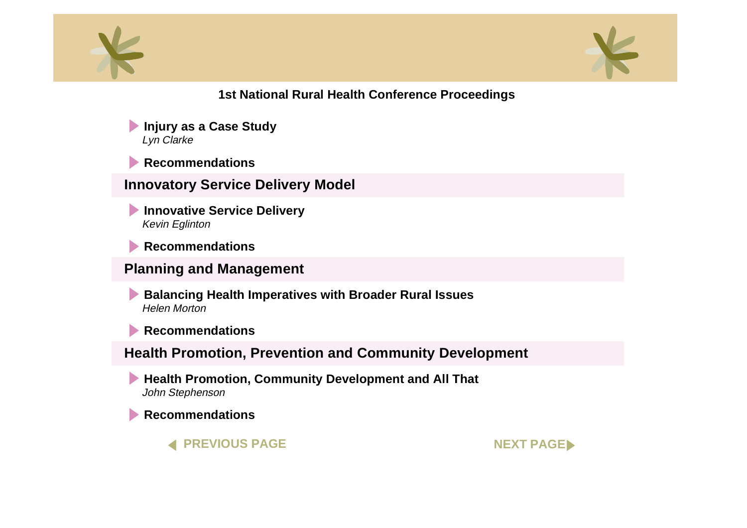<span id="page-8-0"></span>



**[Injury as a Case Study](#page-0-0)**  Lyn Clarke

**[Recommendations](#page-0-0)**

**Innovatory Service Delivery Model**

**Innovative Service Delivery** Kevin Eglinton

**[Recommendations](#page-0-0)**

#### **Planning and Management**

**[Balancing Health Imperatives with Broader Rural Issues](#page-0-0)**  Helen Morton

**[Recommendations](#page-0-0)**

**Health Promotion, Prevention and Community Development**

**[Health Promotion, Community Development and All Tha](#page-0-0)t** John Stephenson

**[Recommendations](#page-0-0)**

**[PREVIOUS PAGE](#page-7-0) [NEXT PAGE](#page-9-0)**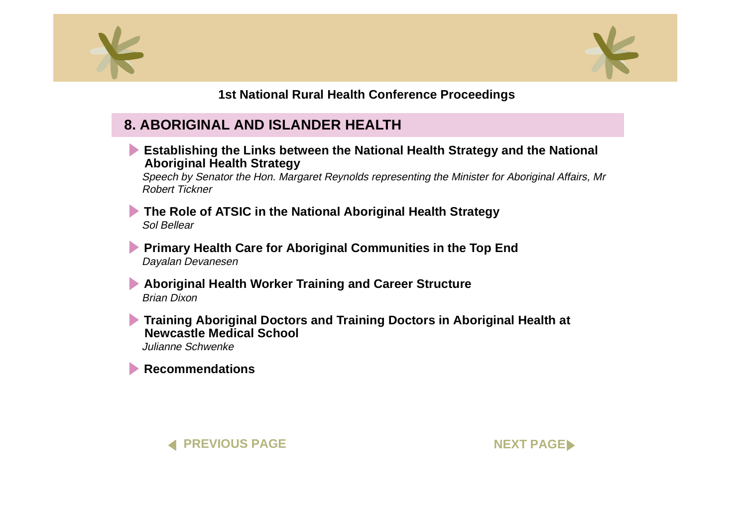<span id="page-9-0"></span>



## **8. ABORIGINAL AND ISLANDER HEALTH**

**[Establishing the Links between the National Health Strategy and the Nationa](#page-0-0)l Aboriginal Health Strategy**

Speech by Senator the Hon. Margaret Reynolds representing the Minister for Aboriginal Affairs, Mr Robert Tickner

**[The Role of ATSIC in the National Aboriginal Health Strategy](#page-0-0)** Sol Bellear

**[Primary Health Care for Aboriginal Communities in the Top End](#page-0-0)** Dayalan Devanesen

**[Aboriginal Health Worker Training and Career Structure](#page-0-0)** Brian Dixon

**[Training Aboriginal Doctors and Training Doctors in Aboriginal Health a](#page-0-0)t <b>Theorie Newcastle Medical School**

Julianne Schwenke

**[Recommendations](#page-0-0)**